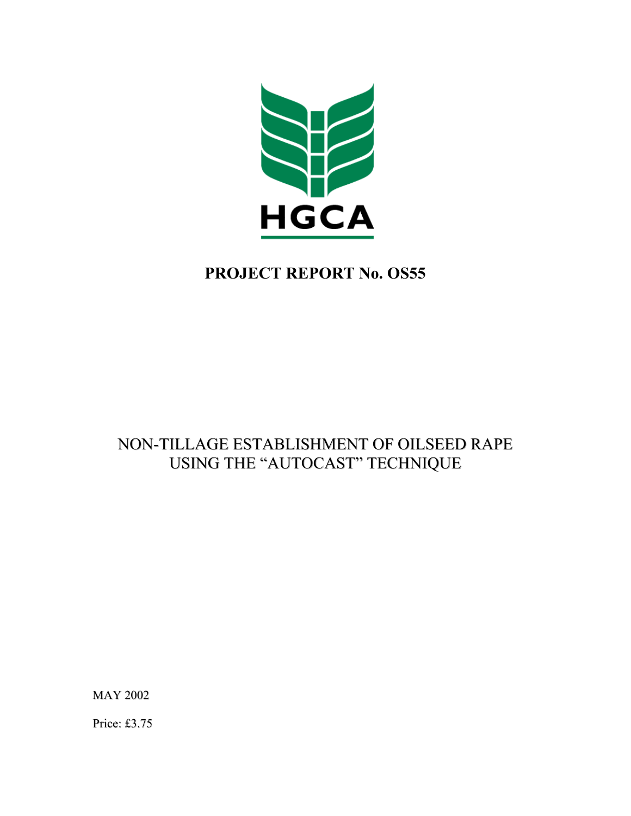

# **PROJECT REPORT No. OS55**

# NON-TILLAGE ESTABLISHMENT OF OILSEED RAPE USING THE "AUTOCAST" TECHNIQUE

MAY 2002

Price: £3.75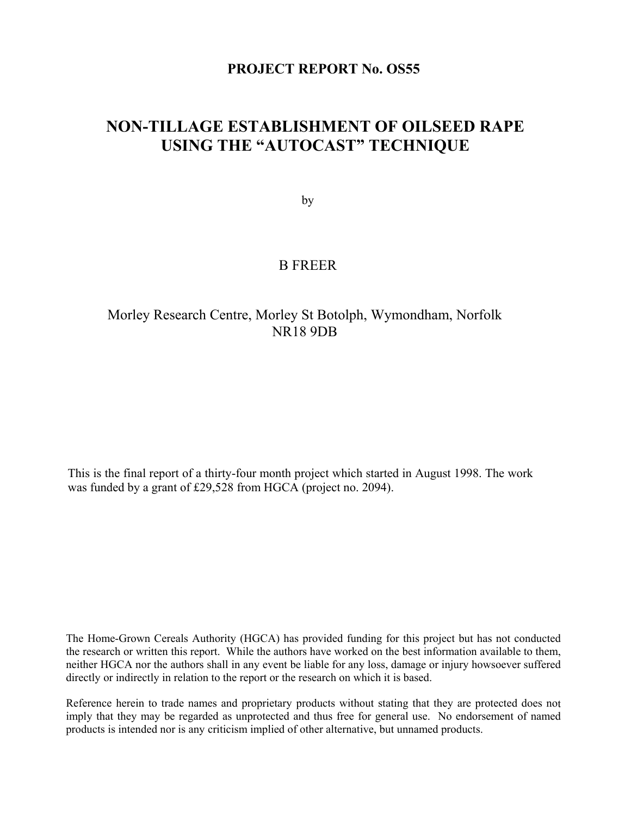# **PROJECT REPORT No. OS55**

# **NON-TILLAGE ESTABLISHMENT OF OILSEED RAPE USING THE "AUTOCAST" TECHNIQUE**

by

# B FREER

# Morley Research Centre, Morley St Botolph, Wymondham, Norfolk NR18 9DB

This is the final report of a thirty-four month project which started in August 1998. The work was funded by a grant of £29,528 from HGCA (project no. 2094).

The Home-Grown Cereals Authority (HGCA) has provided funding for this project but has not conducted the research or written this report. While the authors have worked on the best information available to them, neither HGCA nor the authors shall in any event be liable for any loss, damage or injury howsoever suffered directly or indirectly in relation to the report or the research on which it is based.

Reference herein to trade names and proprietary products without stating that they are protected does not imply that they may be regarded as unprotected and thus free for general use. No endorsement of named products is intended nor is any criticism implied of other alternative, but unnamed products.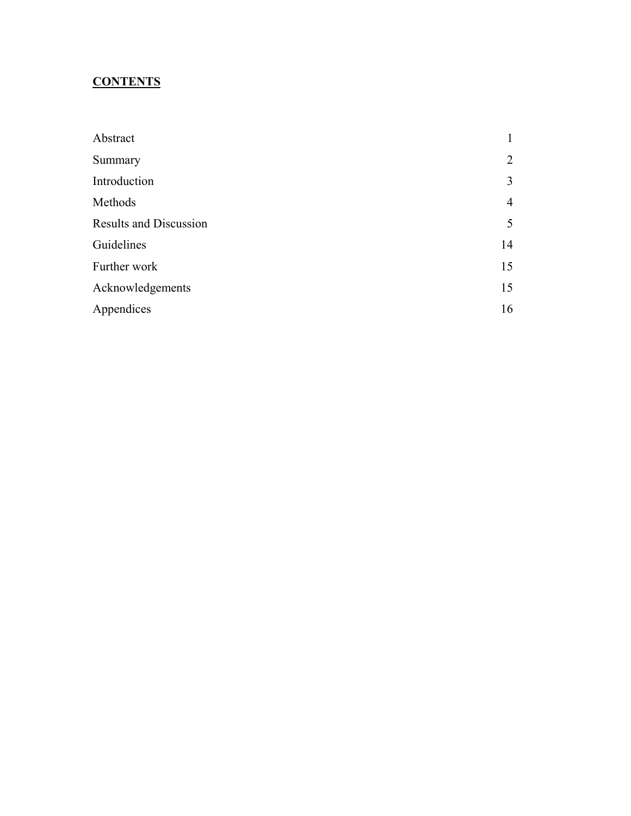# **CONTENTS**

| Abstract                      |                |
|-------------------------------|----------------|
| Summary                       | 2              |
| Introduction                  | 3              |
| Methods                       | $\overline{4}$ |
| <b>Results and Discussion</b> | 5              |
| Guidelines                    | 14             |
| Further work                  | 15             |
| Acknowledgements              | 15             |
| Appendices                    | 16             |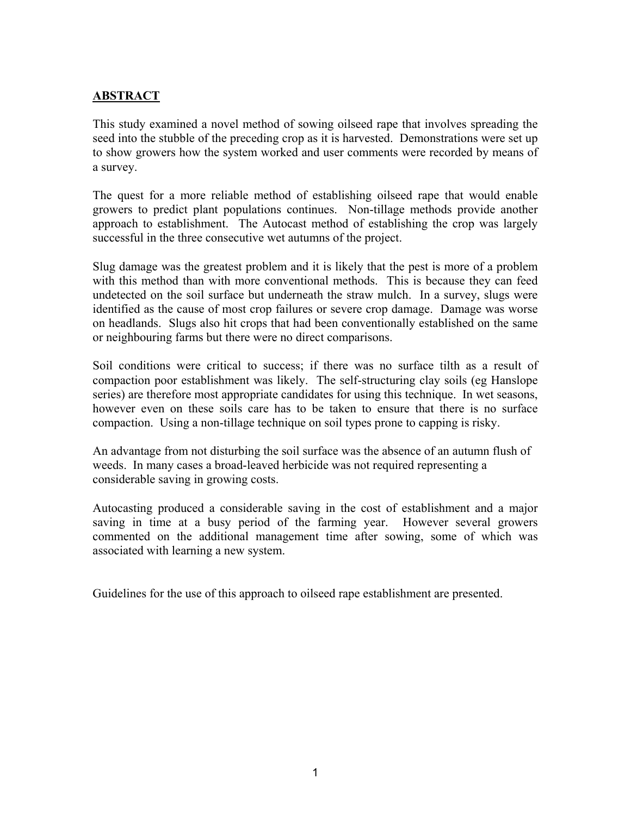# **ABSTRACT**

This study examined a novel method of sowing oilseed rape that involves spreading the seed into the stubble of the preceding crop as it is harvested. Demonstrations were set up to show growers how the system worked and user comments were recorded by means of a survey.

The quest for a more reliable method of establishing oilseed rape that would enable growers to predict plant populations continues. Non-tillage methods provide another approach to establishment. The Autocast method of establishing the crop was largely successful in the three consecutive wet autumns of the project.

Slug damage was the greatest problem and it is likely that the pest is more of a problem with this method than with more conventional methods. This is because they can feed undetected on the soil surface but underneath the straw mulch. In a survey, slugs were identified as the cause of most crop failures or severe crop damage. Damage was worse on headlands. Slugs also hit crops that had been conventionally established on the same or neighbouring farms but there were no direct comparisons.

Soil conditions were critical to success; if there was no surface tilth as a result of compaction poor establishment was likely. The self-structuring clay soils (eg Hanslope series) are therefore most appropriate candidates for using this technique. In wet seasons, however even on these soils care has to be taken to ensure that there is no surface compaction. Using a non-tillage technique on soil types prone to capping is risky.

An advantage from not disturbing the soil surface was the absence of an autumn flush of weeds. In many cases a broad-leaved herbicide was not required representing a considerable saving in growing costs.

Autocasting produced a considerable saving in the cost of establishment and a major saving in time at a busy period of the farming year. However several growers commented on the additional management time after sowing, some of which was associated with learning a new system.

Guidelines for the use of this approach to oilseed rape establishment are presented.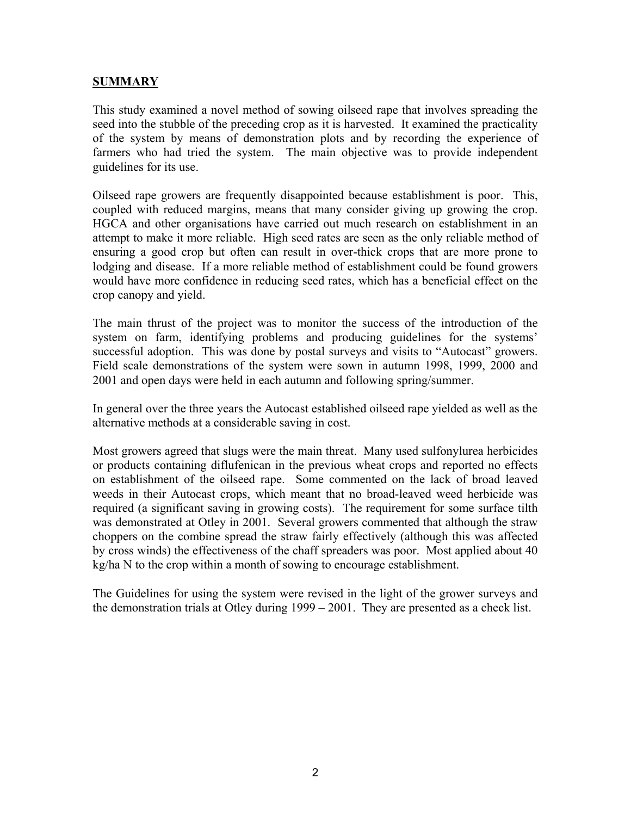# **SUMMARY**

This study examined a novel method of sowing oilseed rape that involves spreading the seed into the stubble of the preceding crop as it is harvested. It examined the practicality of the system by means of demonstration plots and by recording the experience of farmers who had tried the system. The main objective was to provide independent guidelines for its use.

Oilseed rape growers are frequently disappointed because establishment is poor. This, coupled with reduced margins, means that many consider giving up growing the crop. HGCA and other organisations have carried out much research on establishment in an attempt to make it more reliable. High seed rates are seen as the only reliable method of ensuring a good crop but often can result in over-thick crops that are more prone to lodging and disease. If a more reliable method of establishment could be found growers would have more confidence in reducing seed rates, which has a beneficial effect on the crop canopy and yield.

The main thrust of the project was to monitor the success of the introduction of the system on farm, identifying problems and producing guidelines for the systems' successful adoption. This was done by postal surveys and visits to "Autocast" growers. Field scale demonstrations of the system were sown in autumn 1998, 1999, 2000 and 2001 and open days were held in each autumn and following spring/summer.

In general over the three years the Autocast established oilseed rape yielded as well as the alternative methods at a considerable saving in cost.

Most growers agreed that slugs were the main threat. Many used sulfonylurea herbicides or products containing diflufenican in the previous wheat crops and reported no effects on establishment of the oilseed rape. Some commented on the lack of broad leaved weeds in their Autocast crops, which meant that no broad-leaved weed herbicide was required (a significant saving in growing costs). The requirement for some surface tilth was demonstrated at Otley in 2001. Several growers commented that although the straw choppers on the combine spread the straw fairly effectively (although this was affected by cross winds) the effectiveness of the chaff spreaders was poor. Most applied about 40 kg/ha N to the crop within a month of sowing to encourage establishment.

The Guidelines for using the system were revised in the light of the grower surveys and the demonstration trials at Otley during 1999 – 2001. They are presented as a check list.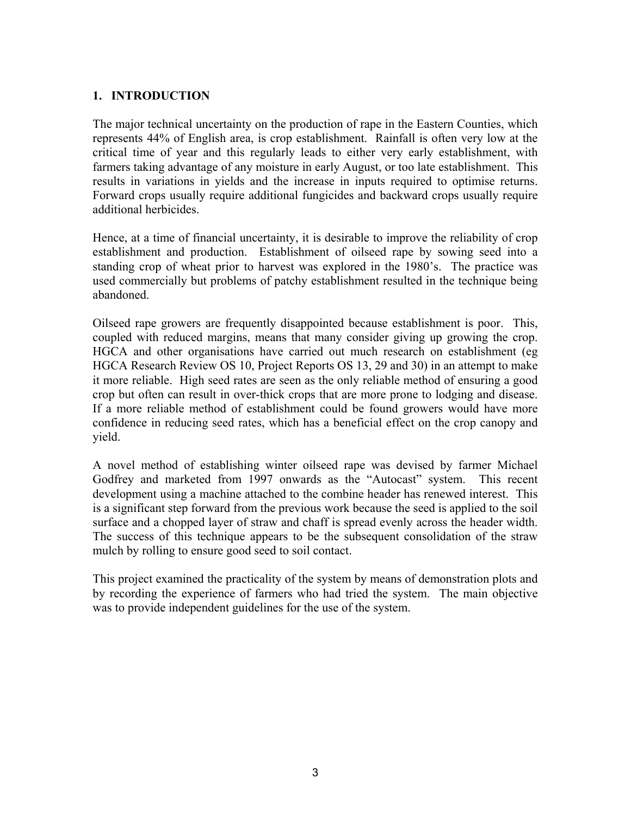# **1. INTRODUCTION**

The major technical uncertainty on the production of rape in the Eastern Counties, which represents 44% of English area, is crop establishment. Rainfall is often very low at the critical time of year and this regularly leads to either very early establishment, with farmers taking advantage of any moisture in early August, or too late establishment. This results in variations in yields and the increase in inputs required to optimise returns. Forward crops usually require additional fungicides and backward crops usually require additional herbicides.

Hence, at a time of financial uncertainty, it is desirable to improve the reliability of crop establishment and production. Establishment of oilseed rape by sowing seed into a standing crop of wheat prior to harvest was explored in the 1980's. The practice was used commercially but problems of patchy establishment resulted in the technique being abandoned.

Oilseed rape growers are frequently disappointed because establishment is poor. This, coupled with reduced margins, means that many consider giving up growing the crop. HGCA and other organisations have carried out much research on establishment (eg HGCA Research Review OS 10, Project Reports OS 13, 29 and 30) in an attempt to make it more reliable. High seed rates are seen as the only reliable method of ensuring a good crop but often can result in over-thick crops that are more prone to lodging and disease. If a more reliable method of establishment could be found growers would have more confidence in reducing seed rates, which has a beneficial effect on the crop canopy and yield.

A novel method of establishing winter oilseed rape was devised by farmer Michael Godfrey and marketed from 1997 onwards as the "Autocast" system. This recent development using a machine attached to the combine header has renewed interest. This is a significant step forward from the previous work because the seed is applied to the soil surface and a chopped layer of straw and chaff is spread evenly across the header width. The success of this technique appears to be the subsequent consolidation of the straw mulch by rolling to ensure good seed to soil contact.

This project examined the practicality of the system by means of demonstration plots and by recording the experience of farmers who had tried the system. The main objective was to provide independent guidelines for the use of the system.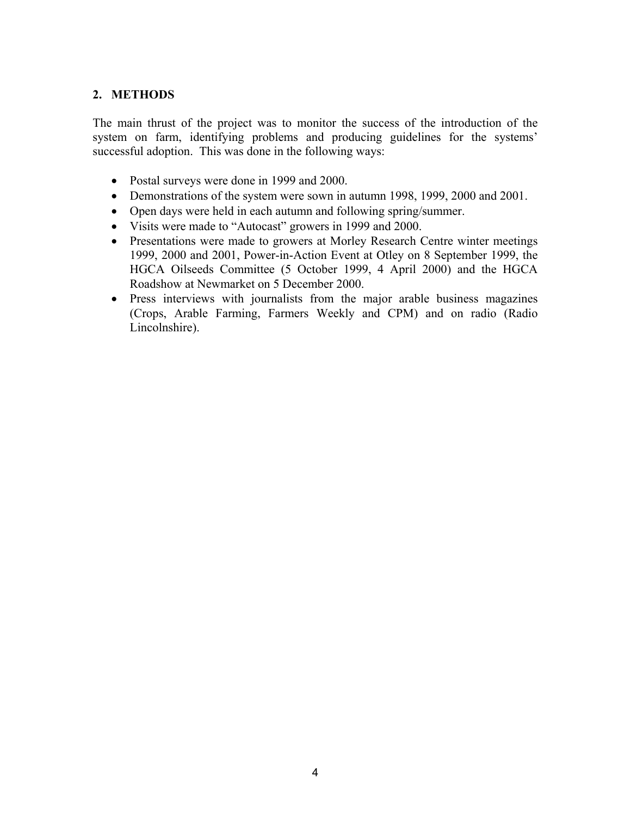# **2. METHODS**

The main thrust of the project was to monitor the success of the introduction of the system on farm, identifying problems and producing guidelines for the systems' successful adoption. This was done in the following ways:

- Postal surveys were done in 1999 and 2000.
- Demonstrations of the system were sown in autumn 1998, 1999, 2000 and 2001.
- Open days were held in each autumn and following spring/summer.
- Visits were made to "Autocast" growers in 1999 and 2000.
- Presentations were made to growers at Morley Research Centre winter meetings 1999, 2000 and 2001, Power-in-Action Event at Otley on 8 September 1999, the HGCA Oilseeds Committee (5 October 1999, 4 April 2000) and the HGCA Roadshow at Newmarket on 5 December 2000.
- Press interviews with journalists from the major arable business magazines (Crops, Arable Farming, Farmers Weekly and CPM) and on radio (Radio Lincolnshire).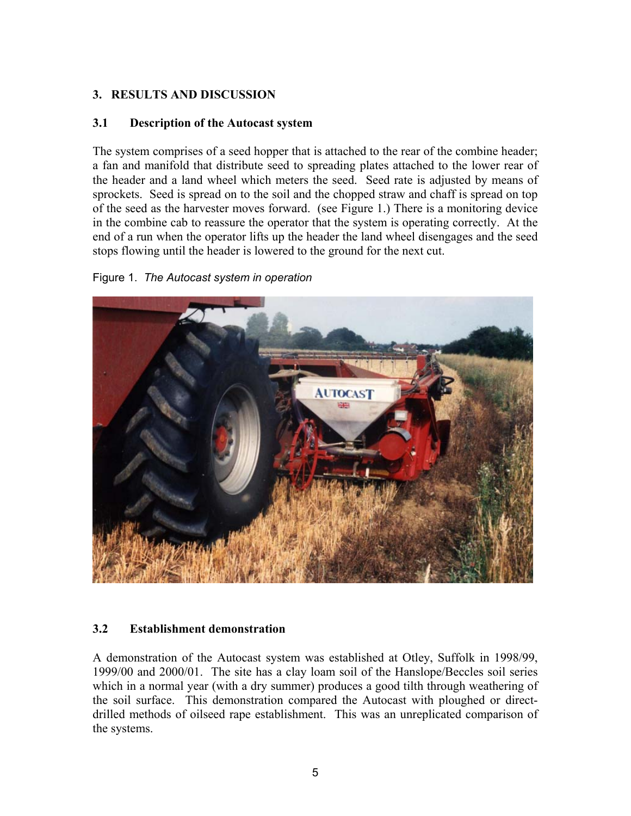# **3. RESULTS AND DISCUSSION**

# **3.1 Description of the Autocast system**

The system comprises of a seed hopper that is attached to the rear of the combine header; a fan and manifold that distribute seed to spreading plates attached to the lower rear of the header and a land wheel which meters the seed. Seed rate is adjusted by means of sprockets. Seed is spread on to the soil and the chopped straw and chaff is spread on top of the seed as the harvester moves forward. (see Figure 1.) There is a monitoring device in the combine cab to reassure the operator that the system is operating correctly. At the end of a run when the operator lifts up the header the land wheel disengages and the seed stops flowing until the header is lowered to the ground for the next cut.

# Figure 1. *The Autocast system in operation*



# **3.2 Establishment demonstration**

A demonstration of the Autocast system was established at Otley, Suffolk in 1998/99, 1999/00 and 2000/01. The site has a clay loam soil of the Hanslope/Beccles soil series which in a normal year (with a dry summer) produces a good tilth through weathering of the soil surface. This demonstration compared the Autocast with ploughed or directdrilled methods of oilseed rape establishment. This was an unreplicated comparison of the systems.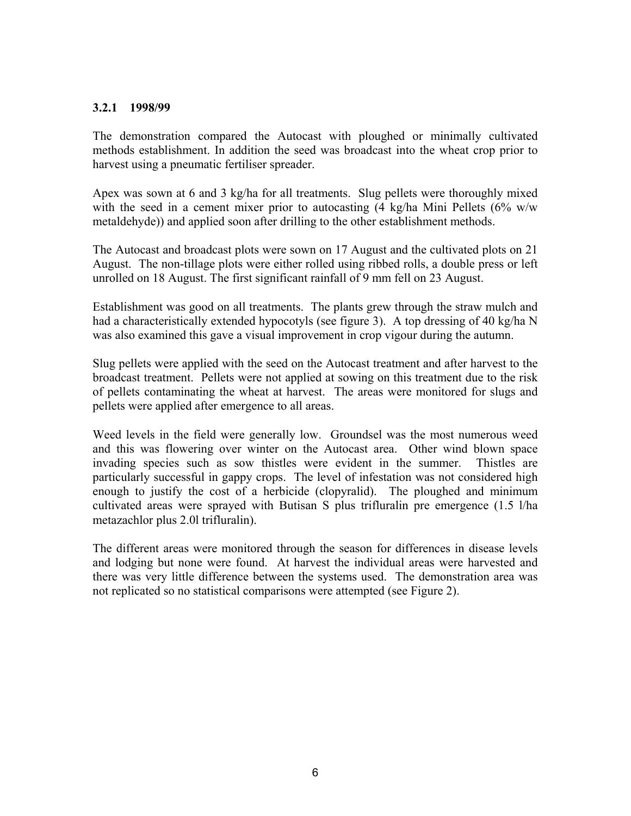## **3.2.1 1998/99**

The demonstration compared the Autocast with ploughed or minimally cultivated methods establishment. In addition the seed was broadcast into the wheat crop prior to harvest using a pneumatic fertiliser spreader.

Apex was sown at 6 and 3 kg/ha for all treatments. Slug pellets were thoroughly mixed with the seed in a cement mixer prior to autocasting  $(4 \text{ kg/ha Mini Pellets } (6\% \text{ w/w})$ metaldehyde)) and applied soon after drilling to the other establishment methods.

The Autocast and broadcast plots were sown on 17 August and the cultivated plots on 21 August. The non-tillage plots were either rolled using ribbed rolls, a double press or left unrolled on 18 August. The first significant rainfall of 9 mm fell on 23 August.

Establishment was good on all treatments. The plants grew through the straw mulch and had a characteristically extended hypocotyls (see figure 3). A top dressing of 40 kg/ha N was also examined this gave a visual improvement in crop vigour during the autumn.

Slug pellets were applied with the seed on the Autocast treatment and after harvest to the broadcast treatment. Pellets were not applied at sowing on this treatment due to the risk of pellets contaminating the wheat at harvest. The areas were monitored for slugs and pellets were applied after emergence to all areas.

Weed levels in the field were generally low. Groundsel was the most numerous weed and this was flowering over winter on the Autocast area. Other wind blown space invading species such as sow thistles were evident in the summer. Thistles are particularly successful in gappy crops. The level of infestation was not considered high enough to justify the cost of a herbicide (clopyralid). The ploughed and minimum cultivated areas were sprayed with Butisan S plus trifluralin pre emergence (1.5 l/ha metazachlor plus 2.0l trifluralin).

The different areas were monitored through the season for differences in disease levels and lodging but none were found. At harvest the individual areas were harvested and there was very little difference between the systems used. The demonstration area was not replicated so no statistical comparisons were attempted (see Figure 2).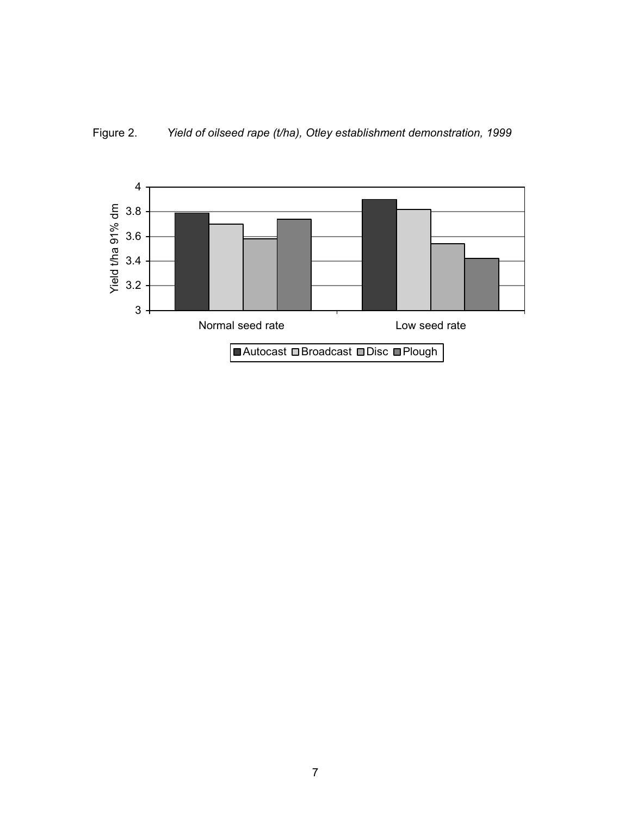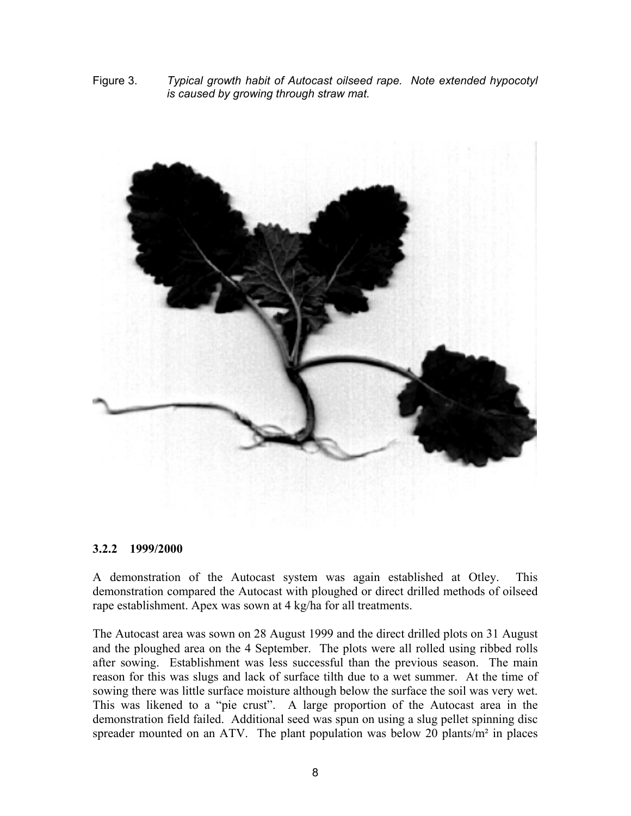Figure 3. *Typical growth habit of Autocast oilseed rape. Note extended hypocotyl is caused by growing through straw mat.* 



#### **3.2.2 1999/2000**

A demonstration of the Autocast system was again established at Otley. This demonstration compared the Autocast with ploughed or direct drilled methods of oilseed rape establishment. Apex was sown at 4 kg/ha for all treatments.

The Autocast area was sown on 28 August 1999 and the direct drilled plots on 31 August and the ploughed area on the 4 September. The plots were all rolled using ribbed rolls after sowing. Establishment was less successful than the previous season. The main reason for this was slugs and lack of surface tilth due to a wet summer. At the time of sowing there was little surface moisture although below the surface the soil was very wet. This was likened to a "pie crust". A large proportion of the Autocast area in the demonstration field failed. Additional seed was spun on using a slug pellet spinning disc spreader mounted on an ATV. The plant population was below 20 plants/m<sup>2</sup> in places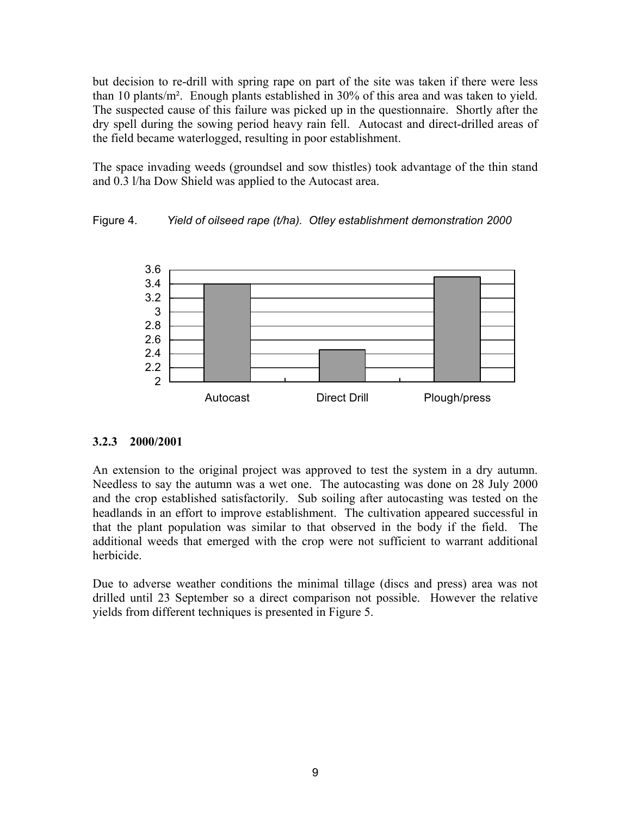but decision to re-drill with spring rape on part of the site was taken if there were less than 10 plants/m². Enough plants established in 30% of this area and was taken to yield. The suspected cause of this failure was picked up in the questionnaire. Shortly after the dry spell during the sowing period heavy rain fell. Autocast and direct-drilled areas of the field became waterlogged, resulting in poor establishment.

The space invading weeds (groundsel and sow thistles) took advantage of the thin stand and 0.3 l/ha Dow Shield was applied to the Autocast area.

# Figure 4. *Yield of oilseed rape (t/ha). Otley establishment demonstration 2000*



# **3.2.3 2000/2001**

An extension to the original project was approved to test the system in a dry autumn. Needless to say the autumn was a wet one. The autocasting was done on 28 July 2000 and the crop established satisfactorily. Sub soiling after autocasting was tested on the headlands in an effort to improve establishment. The cultivation appeared successful in that the plant population was similar to that observed in the body if the field. The additional weeds that emerged with the crop were not sufficient to warrant additional herbicide.

Due to adverse weather conditions the minimal tillage (discs and press) area was not drilled until 23 September so a direct comparison not possible. However the relative yields from different techniques is presented in Figure 5.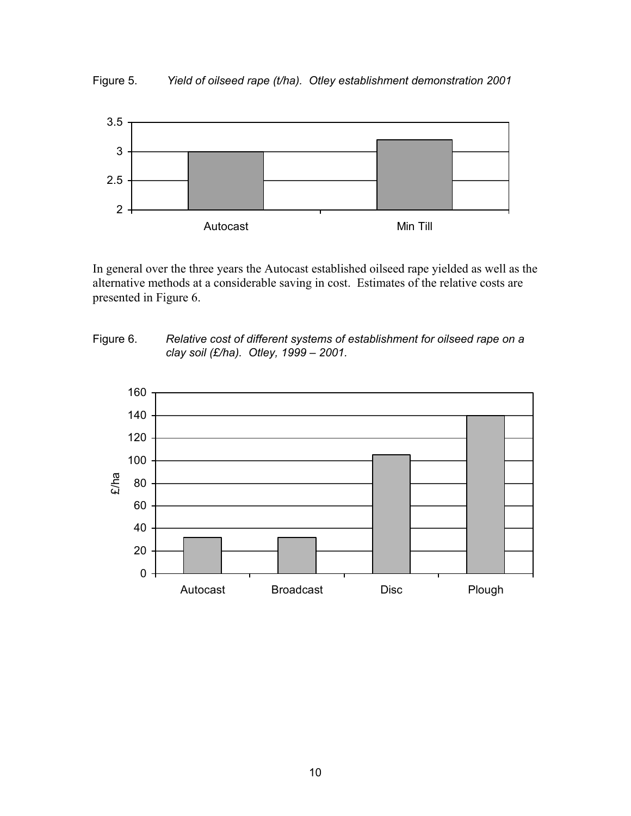Figure 5. *Yield of oilseed rape (t/ha). Otley establishment demonstration 2001*



In general over the three years the Autocast established oilseed rape yielded as well as the alternative methods at a considerable saving in cost. Estimates of the relative costs are presented in Figure 6.



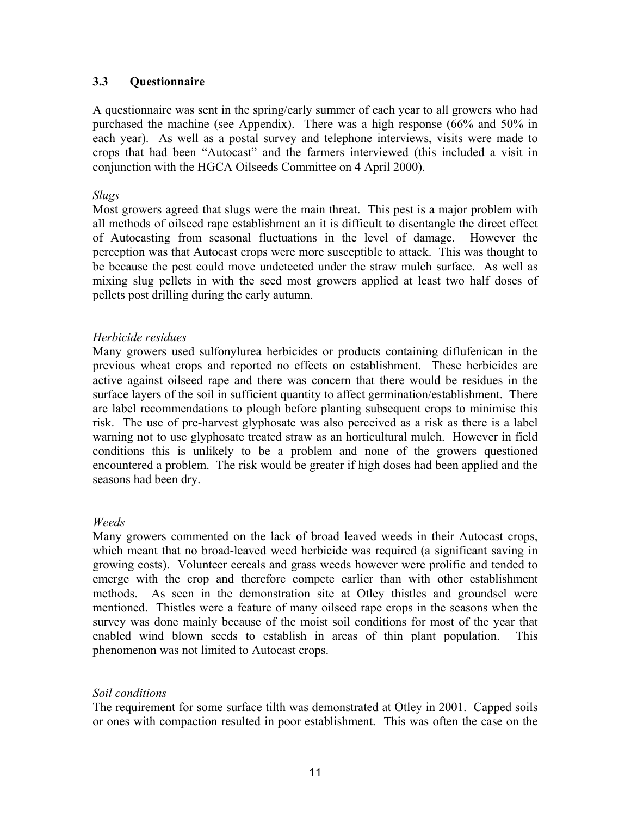# **3.3 Questionnaire**

A questionnaire was sent in the spring/early summer of each year to all growers who had purchased the machine (see Appendix). There was a high response (66% and 50% in each year). As well as a postal survey and telephone interviews, visits were made to crops that had been "Autocast" and the farmers interviewed (this included a visit in conjunction with the HGCA Oilseeds Committee on 4 April 2000).

### *Slugs*

Most growers agreed that slugs were the main threat. This pest is a major problem with all methods of oilseed rape establishment an it is difficult to disentangle the direct effect of Autocasting from seasonal fluctuations in the level of damage. However the perception was that Autocast crops were more susceptible to attack. This was thought to be because the pest could move undetected under the straw mulch surface. As well as mixing slug pellets in with the seed most growers applied at least two half doses of pellets post drilling during the early autumn.

### *Herbicide residues*

Many growers used sulfonylurea herbicides or products containing diflufenican in the previous wheat crops and reported no effects on establishment. These herbicides are active against oilseed rape and there was concern that there would be residues in the surface layers of the soil in sufficient quantity to affect germination/establishment. There are label recommendations to plough before planting subsequent crops to minimise this risk. The use of pre-harvest glyphosate was also perceived as a risk as there is a label warning not to use glyphosate treated straw as an horticultural mulch. However in field conditions this is unlikely to be a problem and none of the growers questioned encountered a problem. The risk would be greater if high doses had been applied and the seasons had been dry.

### *Weeds*

Many growers commented on the lack of broad leaved weeds in their Autocast crops, which meant that no broad-leaved weed herbicide was required (a significant saving in growing costs). Volunteer cereals and grass weeds however were prolific and tended to emerge with the crop and therefore compete earlier than with other establishment methods. As seen in the demonstration site at Otley thistles and groundsel were mentioned. Thistles were a feature of many oilseed rape crops in the seasons when the survey was done mainly because of the moist soil conditions for most of the year that enabled wind blown seeds to establish in areas of thin plant population. This phenomenon was not limited to Autocast crops.

### *Soil conditions*

The requirement for some surface tilth was demonstrated at Otley in 2001. Capped soils or ones with compaction resulted in poor establishment. This was often the case on the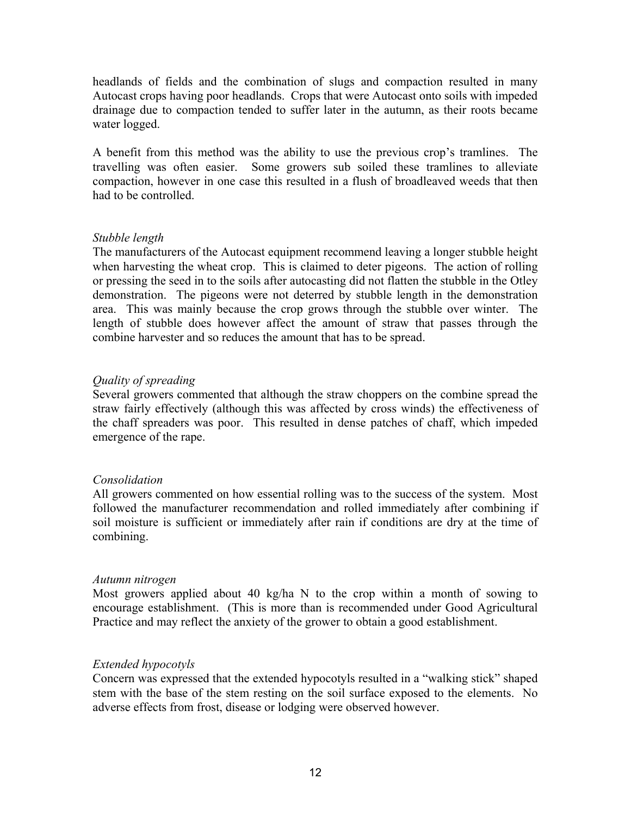headlands of fields and the combination of slugs and compaction resulted in many Autocast crops having poor headlands. Crops that were Autocast onto soils with impeded drainage due to compaction tended to suffer later in the autumn, as their roots became water logged.

A benefit from this method was the ability to use the previous crop's tramlines. The travelling was often easier. Some growers sub soiled these tramlines to alleviate compaction, however in one case this resulted in a flush of broadleaved weeds that then had to be controlled.

# *Stubble length*

The manufacturers of the Autocast equipment recommend leaving a longer stubble height when harvesting the wheat crop. This is claimed to deter pigeons. The action of rolling or pressing the seed in to the soils after autocasting did not flatten the stubble in the Otley demonstration. The pigeons were not deterred by stubble length in the demonstration area. This was mainly because the crop grows through the stubble over winter. The length of stubble does however affect the amount of straw that passes through the combine harvester and so reduces the amount that has to be spread.

# *Quality of spreading*

Several growers commented that although the straw choppers on the combine spread the straw fairly effectively (although this was affected by cross winds) the effectiveness of the chaff spreaders was poor. This resulted in dense patches of chaff, which impeded emergence of the rape.

### *Consolidation*

All growers commented on how essential rolling was to the success of the system. Most followed the manufacturer recommendation and rolled immediately after combining if soil moisture is sufficient or immediately after rain if conditions are dry at the time of combining.

### *Autumn nitrogen*

Most growers applied about 40 kg/ha N to the crop within a month of sowing to encourage establishment. (This is more than is recommended under Good Agricultural Practice and may reflect the anxiety of the grower to obtain a good establishment.

# *Extended hypocotyls*

Concern was expressed that the extended hypocotyls resulted in a "walking stick" shaped stem with the base of the stem resting on the soil surface exposed to the elements. No adverse effects from frost, disease or lodging were observed however.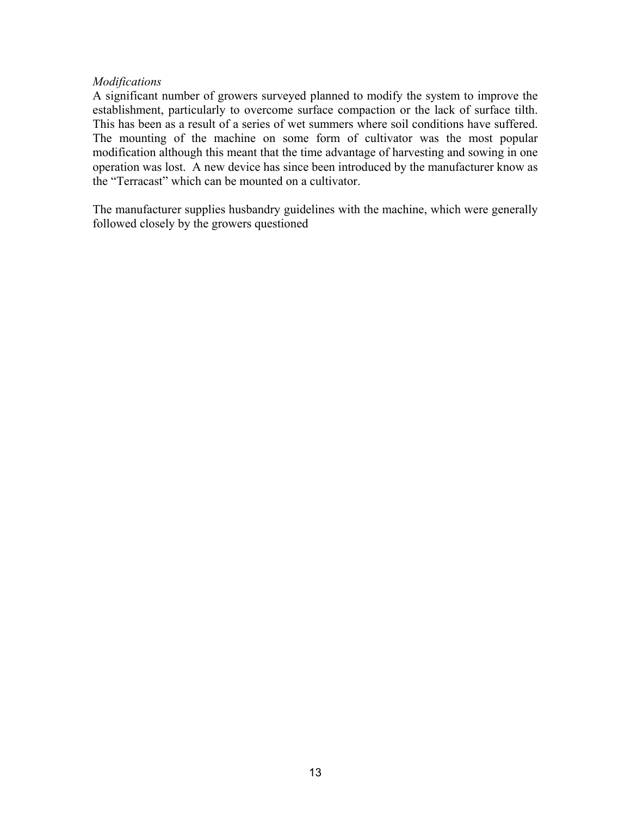### *Modifications*

A significant number of growers surveyed planned to modify the system to improve the establishment, particularly to overcome surface compaction or the lack of surface tilth. This has been as a result of a series of wet summers where soil conditions have suffered. The mounting of the machine on some form of cultivator was the most popular modification although this meant that the time advantage of harvesting and sowing in one operation was lost. A new device has since been introduced by the manufacturer know as the "Terracast" which can be mounted on a cultivator.

The manufacturer supplies husbandry guidelines with the machine, which were generally followed closely by the growers questioned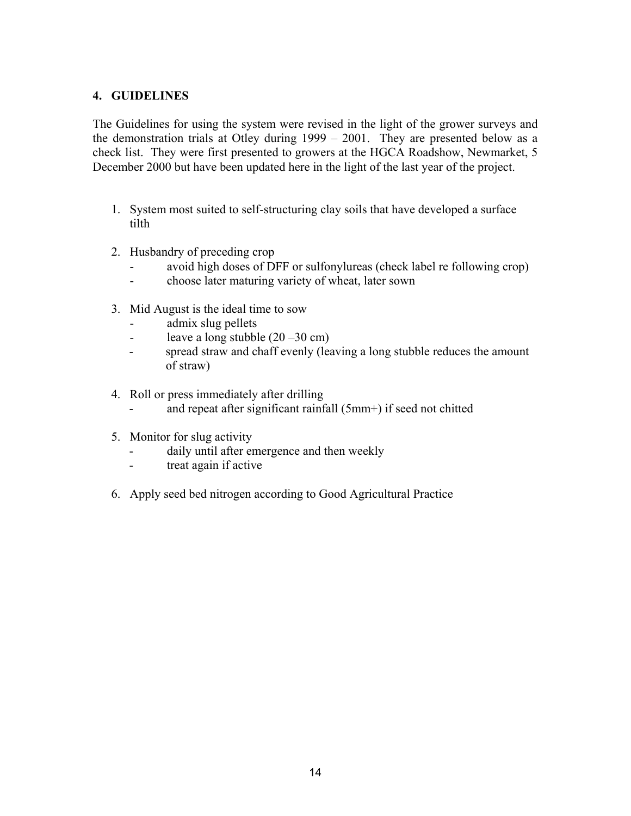# **4. GUIDELINES**

The Guidelines for using the system were revised in the light of the grower surveys and the demonstration trials at Otley during 1999 – 2001. They are presented below as a check list. They were first presented to growers at the HGCA Roadshow, Newmarket, 5 December 2000 but have been updated here in the light of the last year of the project.

- 1. System most suited to self-structuring clay soils that have developed a surface tilth
- 2. Husbandry of preceding crop
	- avoid high doses of DFF or sulfonylureas (check label re following crop)
	- choose later maturing variety of wheat, later sown
- 3. Mid August is the ideal time to sow
	- admix slug pellets
	- leave a long stubble  $(20 30 \text{ cm})$
	- spread straw and chaff evenly (leaving a long stubble reduces the amount of straw)
- 4. Roll or press immediately after drilling
	- and repeat after significant rainfall (5mm+) if seed not chitted
- 5. Monitor for slug activity
	- daily until after emergence and then weekly
	- treat again if active
- 6. Apply seed bed nitrogen according to Good Agricultural Practice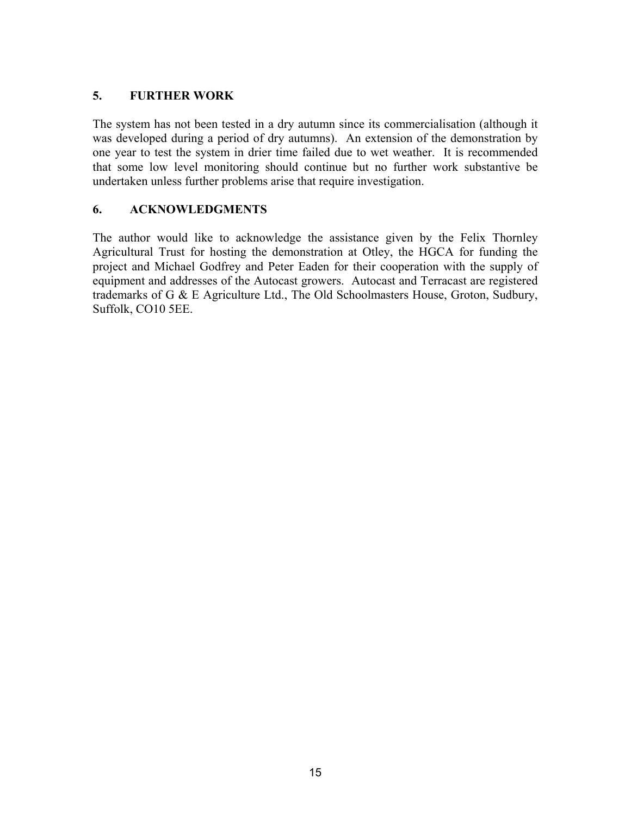# **5. FURTHER WORK**

The system has not been tested in a dry autumn since its commercialisation (although it was developed during a period of dry autumns). An extension of the demonstration by one year to test the system in drier time failed due to wet weather. It is recommended that some low level monitoring should continue but no further work substantive be undertaken unless further problems arise that require investigation.

# **6. ACKNOWLEDGMENTS**

The author would like to acknowledge the assistance given by the Felix Thornley Agricultural Trust for hosting the demonstration at Otley, the HGCA for funding the project and Michael Godfrey and Peter Eaden for their cooperation with the supply of equipment and addresses of the Autocast growers. Autocast and Terracast are registered trademarks of G & E Agriculture Ltd., The Old Schoolmasters House, Groton, Sudbury, Suffolk, CO10 5EE.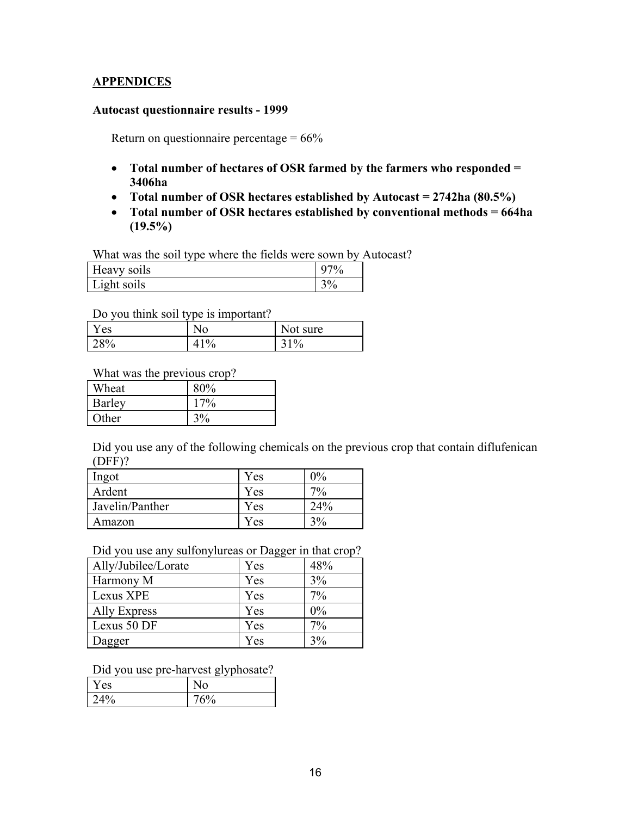# **APPENDICES**

#### **Autocast questionnaire results - 1999**

Return on questionnaire percentage  $= 66\%$ 

- **Total number of hectares of OSR farmed by the farmers who responded = 3406ha**
- **Total number of OSR hectares established by Autocast = 2742ha (80.5%)**
- **Total number of OSR hectares established by conventional methods = 664ha (19.5%)**

What was the soil type where the fields were sown by Autocast?

| $\cdot$ 41<br>Heavy soils      |    |
|--------------------------------|----|
| $\cdot$ 1<br>Light<br>it soils | ΄0 |

Do you think soil type is important?

| í es |   | sure<br>Not. |
|------|---|--------------|
| 28%  | Ό | $1\%$        |

What was the previous crop?

| Wheat         | 80%       |
|---------------|-----------|
| <b>Barley</b> | $7\%$     |
| Other         | 20/<br>70 |

Did you use any of the following chemicals on the previous crop that contain diflufenican (DFF)?

| Ingot           | Yes | 0%       |
|-----------------|-----|----------|
| Ardent          | Yes | $70_{0}$ |
| Javelin/Panther | Yes | 24%      |
| Amazon          | Yes | $3\%$    |

Did you use any sulfonylureas or Dagger in that crop?

| Ally/Jubilee/Lorate | Yes | 48% |
|---------------------|-----|-----|
| Harmony M           | Yes | 3%  |
| Lexus XPE           | Yes | 7%  |
| Ally Express        | Yes | 0%  |
| Lexus 50 DF         | Yes | 7%  |
| Dagger              | Yes | 3%  |

Did you use pre-harvest glyphosate?

| Y es | - - - |
|------|-------|
| 24%  | $5\%$ |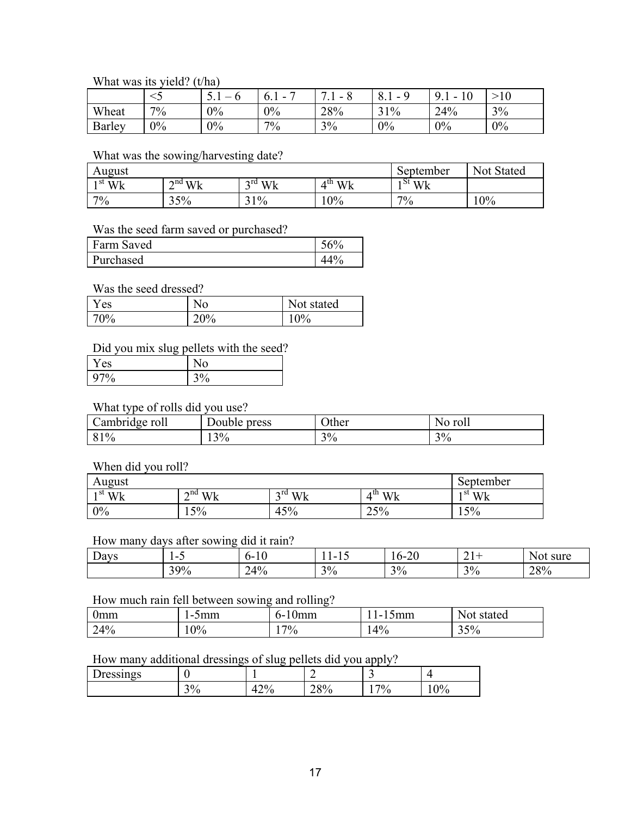#### What was its yield? (t/ha)

|        |       | .  | -<br>0. I<br>- | -<br>-<br>. | $\sim$<br><br>-<br>◡. | u<br>- | 1 <sub>0</sub><br>1 U |
|--------|-------|----|----------------|-------------|-----------------------|--------|-----------------------|
| Wheat  | $7\%$ | 0% | 0%             | 28%         | 31%                   | 24%    | 3%                    |
| Barley | 0%    | 0% | $7\%$          | 3%          | $0\%$                 | 0%     | 0%                    |

# What was the sowing/harvesting date?

| August     |                                            |                    |                    | September   | Not.<br>Stated |
|------------|--------------------------------------------|--------------------|--------------------|-------------|----------------|
| ı st<br>Wk | $2^{nd}$ W/ $\mathbf{L}$<br>VV.<br>۰v<br>∸ | $3^{\text{rd}}$ Wk | $4^{\text{th}}$ Wk | Wk<br>1 O L |                |
| 7%         | 35%                                        | $1\%$              | 0%                 | $7\%$       | 0%             |

#### Was the seed farm saved or purchased?

| Farm Saved | $6\%$    |
|------------|----------|
| Purchased  | 40<br>70 |

#### Was the seed dressed?

| Y es | NO          | Not stated |
|------|-------------|------------|
| 70%  | ን∩0 ⁄<br>70 | $0\%$      |

# Did you mix slug pellets with the seed?

| es   |         |
|------|---------|
| 70/0 | $v_{0}$ |

#### What type of rolls did you use?

| ້.             | press           | Other | roll |
|----------------|-----------------|-------|------|
| Cambridge roll | Double -        |       | 'NO  |
| 81%            | 120/<br>$1.3\%$ | $3\%$ | 3%   |

### When did you roll?

| August                   |                    |                                 |                                                          | September            |
|--------------------------|--------------------|---------------------------------|----------------------------------------------------------|----------------------|
| $\cdot$ <sup>st</sup> Wk | $2^{\text{nd}}$ Wk | $2^{\text{rd}}$ Wk<br>V IL<br>- | Wk<br>A UI<br>$\sqrt{ }$<br>$\mathbf{v}$ is $\mathbf{v}$ | st<br>N/L<br>w<br>۰л |
| 0%                       | 15%                | 45%                             | 25%                                                      | 50/<br>70<br>ے .     |

# How many days after sowing did it rain?

| D<br>Days | . .<br>$\overline{\phantom{a}}$<br>. . | $\sim$<br>.<br>1 U | . .<br>. .<br>. .        | $\sim$ $\sim$<br>$0 -$<br>ט∠־ | $\sim$<br>$\rightarrow$ $\rightarrow$ | $\sim$ $\sim$<br>sure<br>N<br>. v |
|-----------|----------------------------------------|--------------------|--------------------------|-------------------------------|---------------------------------------|-----------------------------------|
|           | 200/<br>70<br>້                        | $4\%$              | 20.<br>$\sqrt{0}$<br>- - | 20/<br>- -                    | $3\%$                                 | 28%                               |

#### How much rain fell between sowing and rolling?

| 0mm | ۱mm<br>$\overline{\phantom{0}}$ | Umm<br>$\overline{a}$<br>$-1$ | mm<br>$\sim$ | stated |
|-----|---------------------------------|-------------------------------|--------------|--------|
| 24% | 10%                             | $7\%$                         | 4%           | 35%    |

# How many additional dressings of slug pellets did you apply?

|                |                             | ັ                             |                                       |           |                                    |
|----------------|-----------------------------|-------------------------------|---------------------------------------|-----------|------------------------------------|
| –<br>Dressings |                             |                               | -                                     |           |                                    |
|                | 20 <sub>l</sub><br>v<br>$-$ | 170.<br>–<br>$i \leftarrow r$ | 700/<br>ʹ0<br>$\sim$ $\circ$ $\prime$ | 70.<br>ʹ0 | $\Omega$<br>′0<br>$\mathbf{U}$<br> |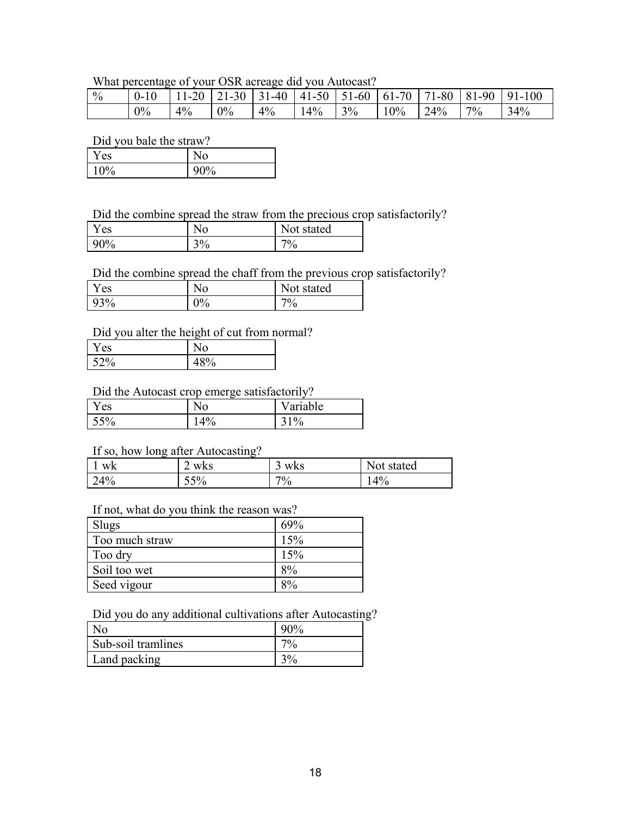# What percentage of your OSR acreage did you Autocast?

| $\frac{0}{0}$ |    |       |       |       |                                  |  |  | $\mid$ 0-10 $\mid$ 11-20 $\mid$ 21-30 $\mid$ 31-40 $\mid$ 41-50 $\mid$ 51-60 $\mid$ 61-70 $\mid$ 71-80 $\mid$ 81-90 $\mid$ 91-100 |
|---------------|----|-------|-------|-------|----------------------------------|--|--|-----------------------------------------------------------------------------------------------------------------------------------|
|               | 0% | $4\%$ | $0\%$ | $4\%$ | $14\%$ $3\%$ $10\%$ $24\%$ $7\%$ |  |  | 34%                                                                                                                               |

Did you bale the straw?

| es    | ٩O                      |
|-------|-------------------------|
| $0\%$ | $\mathbf{0}$<br>70<br>v |

Did the combine spread the straw from the precious crop satisfactorily?

| es     | No.                    | stated<br>N∩t |
|--------|------------------------|---------------|
| $90\%$ | 20/<br>$\gamma_0$<br>◡ | 70/<br>′0     |

Did the combine spread the chaff from the previous crop satisfactorily?

| Y es | No         | Not stated |
|------|------------|------------|
| 93%  | Λ0/<br>V70 | $7\%$      |

# Did you alter the height of cut from normal?

| r es |   |  |
|------|---|--|
| 52%  | υ |  |

# Did the Autocast crop emerge satisfactorily?

| Y es |            | Variable |
|------|------------|----------|
| 55%  | 40/<br>+70 | 31%      |

# If so, how long after Autocasting?

| WK  | WKS | WKS | Not stated |
|-----|-----|-----|------------|
|     | ∸   | ◡   |            |
| 24% | 55% | 7%  | 14%        |

# If not, what do you think the reason was?

| Slugs          | 69% |
|----------------|-----|
| Too much straw | 15% |
| Too dry        | 15% |
| Soil too wet   | 8%  |
| Seed vigour    | 8%  |

# Did you do any additional cultivations after Autocasting?

| N <sub>0</sub>     | $00\%$ |
|--------------------|--------|
| Sub-soil tramlines | 70/0   |
| Land packing       |        |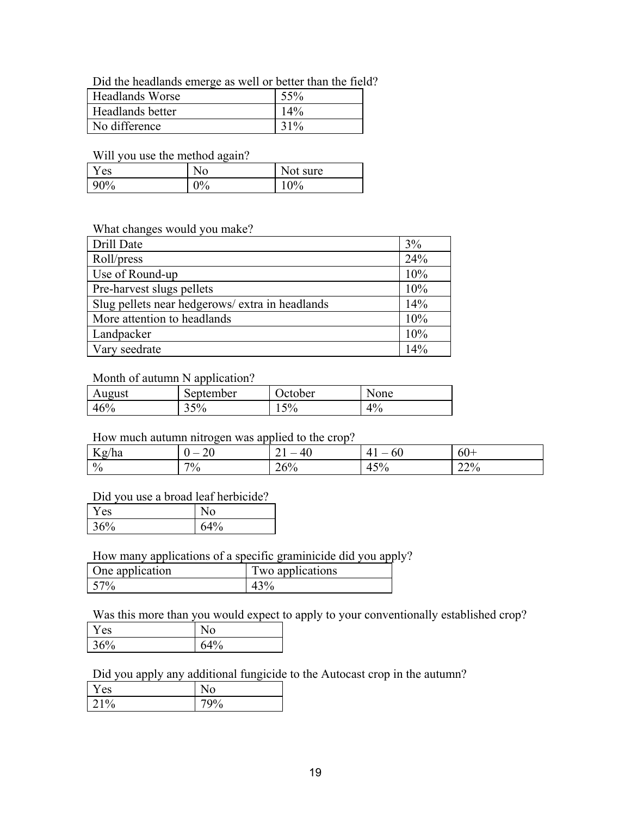Did the headlands emerge as well or better than the field?

| <b>Headlands Worse</b> | 55%    |
|------------------------|--------|
| Headlands better       | 14%    |
| No difference          | $31\%$ |

Will you use the method again?

| ′es | No.                       | <b>Not</b><br>sure |
|-----|---------------------------|--------------------|
| 90% | $\Omega$<br>$\frac{7}{9}$ | $10\%$             |

#### What changes would you make?

| Drill Date                                      | 3%  |
|-------------------------------------------------|-----|
| Roll/press                                      | 24% |
| Use of Round-up                                 | 10% |
| Pre-harvest slugs pellets                       | 10% |
| Slug pellets near hedgerows/ extra in headlands | 14% |
| More attention to headlands                     | 10% |
| Landpacker                                      | 10% |
| Vary seedrate                                   | 14% |

#### Month of autumn N application?

| August | September | October | None  |
|--------|-----------|---------|-------|
| 46%    | 35%       | $15\%$  | $4\%$ |

### How much autumn nitrogen was applied to the crop?

| <b>T</b><br>Kg/ha | ∠     | $\Delta \theta$<br>τv<br>-- | OU<br>4<br>_      | οU<br>-- |
|-------------------|-------|-----------------------------|-------------------|----------|
| $\%$              | $7\%$ | 60/<br>20/0                 | $5\%$<br>4<br>тυ, | 22%      |

### Did you use a broad leaf herbicide?

| Y es   |    |
|--------|----|
| $56\%$ | 4% |

# How many applications of a specific graminicide did you apply?

| One application | Two applications |
|-----------------|------------------|
| 57%             |                  |

Was this more than you would expect to apply to your conventionally established crop?

| es       |     |
|----------|-----|
| 160/     | 40/ |
| $\Omega$ | ó   |

Did you apply any additional fungicide to the Autocast crop in the autumn?

| es<br>ı  |   |
|----------|---|
| 10/<br>O | 0 |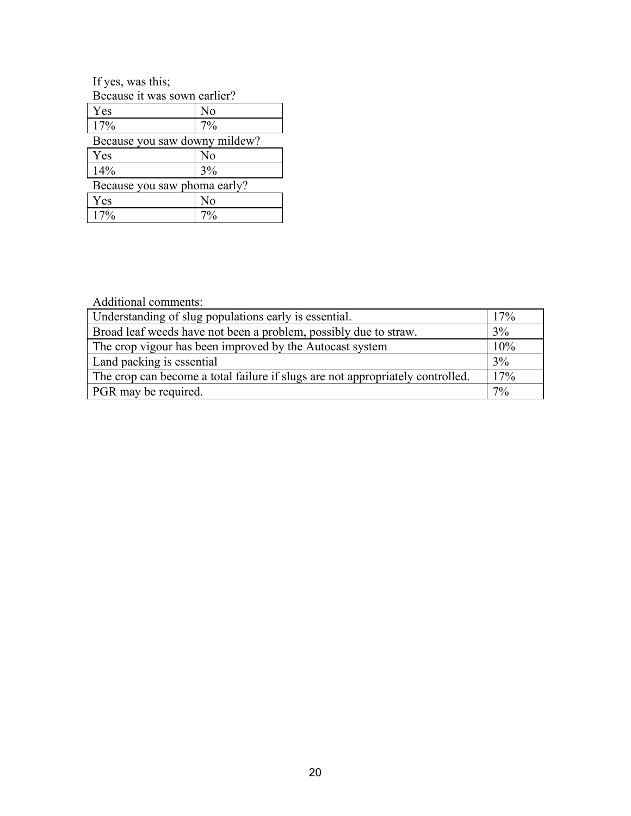If yes, was this; Because it was sown earlier?

| Yes                           | N <sub>0</sub> |  |
|-------------------------------|----------------|--|
| 17%                           | 7%             |  |
| Because you saw downy mildew? |                |  |
| Yes                           | No             |  |
| 14%                           | 3%             |  |
| Because you saw phoma early?  |                |  |
| $V$ ac                        |                |  |

| <b>es</b> |   |
|-----------|---|
| U         | 0 |

Additional comments:

| Understanding of slug populations early is essential.                          | 17% |
|--------------------------------------------------------------------------------|-----|
| Broad leaf weeds have not been a problem, possibly due to straw.               | 3%  |
| The crop vigour has been improved by the Autocast system                       | 10% |
| Land packing is essential                                                      | 3%  |
| The crop can become a total failure if slugs are not appropriately controlled. | 17% |
| PGR may be required.                                                           | 7%  |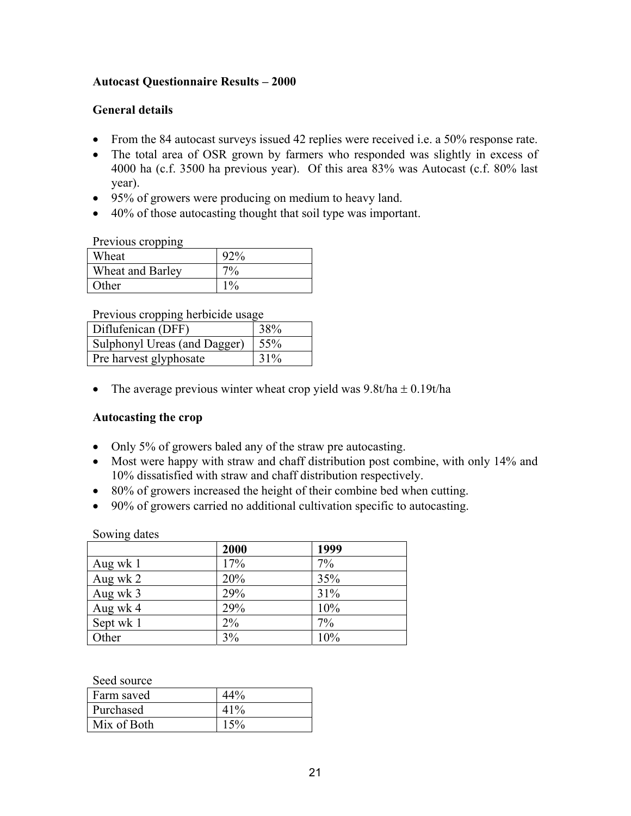# **Autocast Questionnaire Results – 2000**

# **General details**

- From the 84 autocast surveys issued 42 replies were received i.e. a 50% response rate.
- The total area of OSR grown by farmers who responded was slightly in excess of 4000 ha (c.f. 3500 ha previous year). Of this area 83% was Autocast (c.f. 80% last year).
- 95% of growers were producing on medium to heavy land.
- 40% of those autocasting thought that soil type was important.

Previous cropping

| Wheat            |       |
|------------------|-------|
| Wheat and Barley | $7\%$ |
| Other            | 10/   |

Previous cropping herbicide usage

| Diflufenican (DFF)           | 38% |
|------------------------------|-----|
| Sulphonyl Ureas (and Dagger) | 55% |
| Pre harvest glyphosate       | 31% |

• The average previous winter wheat crop yield was  $9.8t/ha \pm 0.19t/ha$ 

### **Autocasting the crop**

- Only 5% of growers baled any of the straw pre autocasting.
- Most were happy with straw and chaff distribution post combine, with only 14% and 10% dissatisfied with straw and chaff distribution respectively.
- 80% of growers increased the height of their combine bed when cutting.
- 90% of growers carried no additional cultivation specific to autocasting.

Sowing dates

|           | 2000 | 1999 |
|-----------|------|------|
| Aug wk 1  | 17%  | 7%   |
| Aug wk 2  | 20%  | 35%  |
| Aug wk 3  | 29%  | 31%  |
| Aug wk 4  | 29%  | 10%  |
| Sept wk 1 | 2%   | 7%   |
| Other     | 3%   | 10%  |

Seed source

| ---------   |      |
|-------------|------|
| Farm saved  |      |
| Purchased   | 41%  |
| Mix of Both | .50/ |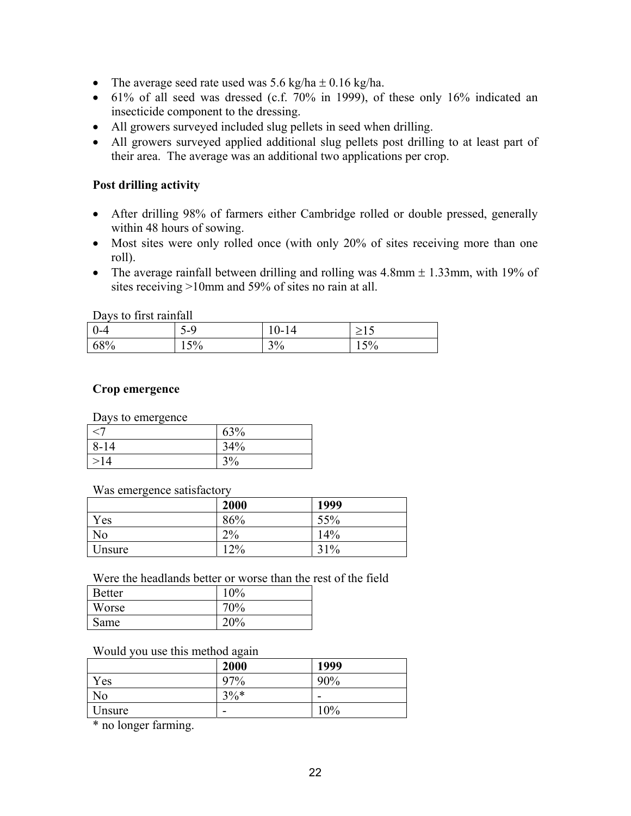- The average seed rate used was  $5.6 \text{ kg/ha} \pm 0.16 \text{ kg/ha}$ .
- $\bullet$  61% of all seed was dressed (c.f. 70% in 1999), of these only 16% indicated an insecticide component to the dressing.
- All growers surveyed included slug pellets in seed when drilling.
- All growers surveyed applied additional slug pellets post drilling to at least part of their area. The average was an additional two applications per crop.

# **Post drilling activity**

- After drilling 98% of farmers either Cambridge rolled or double pressed, generally within 48 hours of sowing.
- Most sites were only rolled once (with only 20% of sites receiving more than one roll).
- The average rainfall between drilling and rolling was  $4.8$ mm  $\pm 1.33$ mm, with 19% of sites receiving >10mm and 59% of sites no rain at all.

Days to first rainfall

| $1000$ and $1000$ and $1000$ |                         |                |                           |
|------------------------------|-------------------------|----------------|---------------------------|
| <u>ьл</u>                    | 1-4<br>ັ                | 14<br>.<br>⊥ ∪ |                           |
| $\sqrt{8\%}$                 | $\sim$ $\sim$<br>$15\%$ | 20.<br>270     | $\sim$ $\sim$<br>$1 \cup$ |

# **Crop emergence**

Days to emergence

|          | 63% |
|----------|-----|
| $8 - 14$ | 34% |
| 14       | 3%  |

Was emergence satisfactory

|        | 2000  | 1999 |
|--------|-------|------|
| Yes    | 86%   | 55%  |
| No     | $2\%$ | 14%  |
| Unsure | $2\%$ | 31%  |

### Were the headlands better or worse than the rest of the field

| <b>Better</b> | 10% |
|---------------|-----|
| Worse         | 70% |
| Same          | 20% |

### Would you use this method again

|                | 2000   | 1999 |
|----------------|--------|------|
| $V_{ES}$       | 97%    | 90%  |
| N <sub>o</sub> | $3\%*$ | -    |
| Unsure         | -      | 10%  |

\* no longer farming.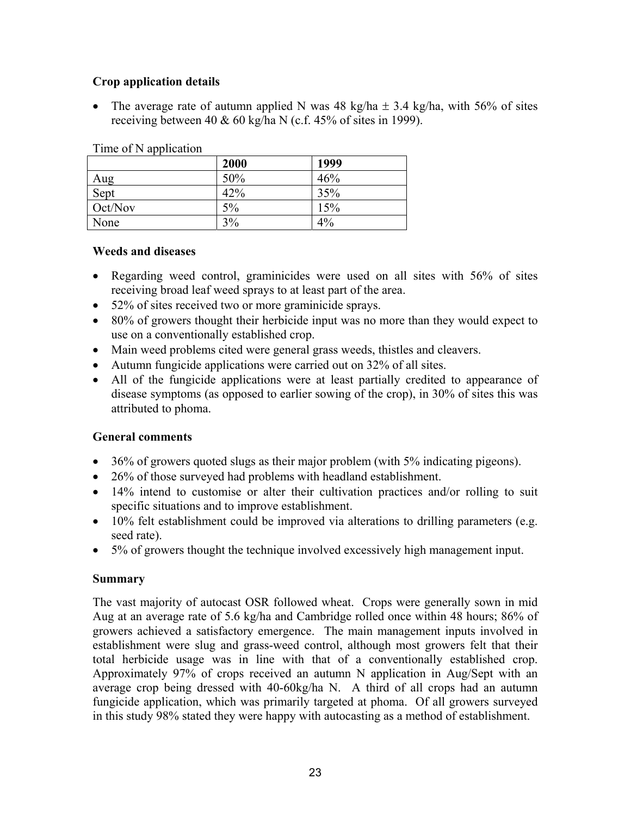# **Crop application details**

The average rate of autumn applied N was 48 kg/ha  $\pm$  3.4 kg/ha, with 56% of sites receiving between 40  $& 60 \text{ kg/ha}$  N (c.f. 45% of sites in 1999).

|         | 2000 | 1999 |  |
|---------|------|------|--|
| Aug     | 50%  | 46%  |  |
| Sept    | 42%  | 35%  |  |
| Oct/Nov | 5%   | 15%  |  |
| None    | 3%   | 4%   |  |

#### Time of N application

### **Weeds and diseases**

- Regarding weed control, graminicides were used on all sites with 56% of sites receiving broad leaf weed sprays to at least part of the area.
- 52% of sites received two or more graminicide sprays.
- 80% of growers thought their herbicide input was no more than they would expect to use on a conventionally established crop.
- Main weed problems cited were general grass weeds, thistles and cleavers.
- Autumn fungicide applications were carried out on 32% of all sites.
- All of the fungicide applications were at least partially credited to appearance of disease symptoms (as opposed to earlier sowing of the crop), in 30% of sites this was attributed to phoma.

### **General comments**

- $\bullet$  36% of growers quoted slugs as their major problem (with 5% indicating pigeons).
- 26% of those surveyed had problems with headland establishment.
- 14% intend to customise or alter their cultivation practices and/or rolling to suit specific situations and to improve establishment.
- 10% felt establishment could be improved via alterations to drilling parameters (e.g. seed rate).
- 5% of growers thought the technique involved excessively high management input.

### **Summary**

The vast majority of autocast OSR followed wheat. Crops were generally sown in mid Aug at an average rate of 5.6 kg/ha and Cambridge rolled once within 48 hours; 86% of growers achieved a satisfactory emergence. The main management inputs involved in establishment were slug and grass-weed control, although most growers felt that their total herbicide usage was in line with that of a conventionally established crop. Approximately 97% of crops received an autumn N application in Aug/Sept with an average crop being dressed with 40-60kg/ha N. A third of all crops had an autumn fungicide application, which was primarily targeted at phoma. Of all growers surveyed in this study 98% stated they were happy with autocasting as a method of establishment.